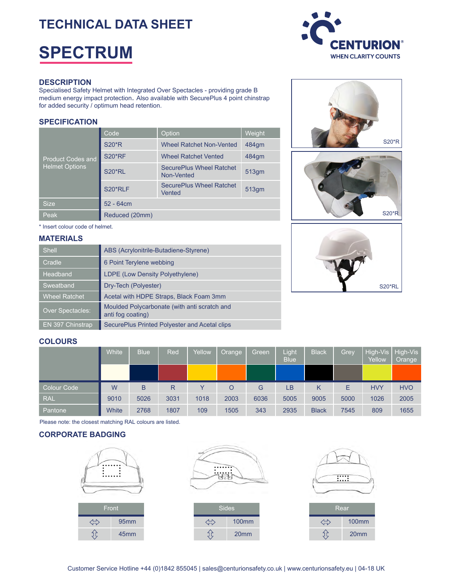## **TECHNICAL DATA SHEET**

# **SPECTRUM**



#### **DESCRIPTION**

Specialised Safety Helmet with Integrated Over Spectacles - providing grade B medium energy impact protection. Also available with SecurePlus 4 point chinstrap for added security / optimum head retention.

#### **SPECIFICATION**

| <b>Product Codes and</b><br><b>Helmet Options</b> | Code           | Option                                        | Weight |  |
|---------------------------------------------------|----------------|-----------------------------------------------|--------|--|
|                                                   | <b>S20*R</b>   | <b>Wheel Ratchet Non-Vented</b>               | 484qm  |  |
|                                                   | <b>S20*RF</b>  | <b>Wheel Ratchet Vented</b>                   | 484qm  |  |
|                                                   | <b>S20*RL</b>  | <b>SecurePlus Wheel Ratchet</b><br>Non-Vented | 513gm  |  |
|                                                   | S20*RLF        | <b>SecurePlus Wheel Ratchet</b><br>Vented     | 513gm  |  |
| <b>Size</b>                                       | $52 - 64cm$    |                                               |        |  |
| Peak                                              | Reduced (20mm) |                                               |        |  |

\* Insert colour code of helmet.

#### **MATERIALS**

| <b>Shell</b>         | ABS (Acrylonitrile-Butadiene-Styrene)                             |
|----------------------|-------------------------------------------------------------------|
| Cradle               | 6 Point Terylene webbing                                          |
| <b>Headband</b>      | LDPE (Low Density Polyethylene)                                   |
| Sweatband            | Dry-Tech (Polyester)                                              |
| <b>Wheel Ratchet</b> | Acetal with HDPE Straps, Black Foam 3mm                           |
| Over Spectacles:     | Moulded Polycarbonate (with anti scratch and<br>anti fog coating) |
| EN 397 Chinstrap     | SecurePlus Printed Polyester and Acetal clips                     |







#### **COLOURS**

|                    | White | <b>Blue</b> | Red  | Yellow | Orange | Green | Light<br><b>Blue</b> | <b>Black</b> | Grey | Yellow     | High-Vis   High-Vis<br>Orange |
|--------------------|-------|-------------|------|--------|--------|-------|----------------------|--------------|------|------------|-------------------------------|
|                    |       |             |      |        |        |       |                      |              |      |            |                               |
| <b>Colour Code</b> | W     | B           | R    |        | O      | G     | LB                   | Κ            | E    | <b>HVY</b> | <b>HVO</b>                    |
| <b>RAL</b>         | 9010  | 5026        | 3031 | 1018   | 2003   | 6036  | 5005                 | 9005         | 5000 | 1026       | 2005                          |
|                    |       |             |      |        |        |       |                      |              |      |            |                               |

Please note: the closest matching RAL colours are listed.

#### **CORPORATE BADGING**





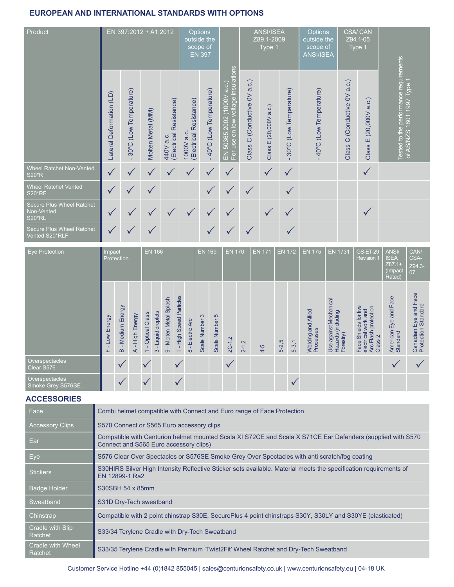### **EUROPEAN AND INTERNATIONAL STANDARDS WITH OPTIONS**

| Product                                                  |                          | EN 397:2012 + A1:2012               |                   |                                      | Options<br>outside the<br>scope of    | <b>EN 397</b>          |                                                                  |                                 | <b>ANSI/ISEA</b><br>Z89.1-2009<br>Type 1 |                                     | Options<br>outside the<br>scope of<br><b>ANSI/ISEA</b> | Type 1                                      | <b>CSA/CAN</b><br>Z94.1-05       |                                                                      |
|----------------------------------------------------------|--------------------------|-------------------------------------|-------------------|--------------------------------------|---------------------------------------|------------------------|------------------------------------------------------------------|---------------------------------|------------------------------------------|-------------------------------------|--------------------------------------------------------|---------------------------------------------|----------------------------------|----------------------------------------------------------------------|
|                                                          | Lateral Deformation (LD) | (Low Temperature)<br>$30^{\circ}$ C | Molten Metal (MM) | (Electrical Resistance)<br>440V a.c. | (Electrical Resistance)<br>1000V a.c. | 40°C (Low Temperature) | EN 50365:2002 (Tooov e.e.)<br>For use on low voltage insulations | C (Conductive OV a.c.)<br>Class | (20,000V a.c.)<br>Ш<br>Class             | (Low Temperature)<br>$30^{\circ}$ C | 40°C (Low Temperature)                                 | a.c.)<br>(Conductive OV<br>$\circ$<br>Class | a.c.)<br>(20,000V)<br>ш<br>Class | Tested to the performance requirements<br>of AS/NZS 1801:1997 Type 1 |
| Wheel Ratchet Non-Vented<br><b>S20*R</b>                 | $\sqrt{}$                |                                     |                   |                                      | $\checkmark$                          | ✓                      | $\checkmark$                                                     |                                 | $\checkmark$                             | $\checkmark$                        |                                                        |                                             | $\checkmark$                     |                                                                      |
| <b>Wheel Ratchet Vented</b><br><b>S20*RF</b>             |                          |                                     |                   |                                      |                                       |                        |                                                                  | $\checkmark$                    |                                          | $\checkmark$                        |                                                        |                                             |                                  |                                                                      |
| Secure Plus Wheel Ratchet<br>Non-Vented<br><b>S20*RL</b> |                          |                                     |                   | $\checkmark$                         | ✓                                     | ✓                      | ✓                                                                |                                 | $\checkmark$                             | $\checkmark$                        |                                                        |                                             |                                  |                                                                      |
| <b>Secure Plus Wheel Ratchet</b><br>Vented S20*RLF       |                          |                                     |                   |                                      |                                       |                        |                                                                  |                                 |                                          |                                     |                                                        |                                             |                                  |                                                                      |

| <b>Eye Protection</b>               | Impact<br>Protection          |                              | <b>EN 166</b>    |                                           |                             |                                 | <b>EN 169</b>               |                                    | <b>EN 170</b>     |                | <b>EN 171</b> | <b>EN 172</b> |       | <b>EN 175</b> | <b>EN 1731</b> | <b>GS-ET-29</b><br><b>Revision 1</b>  | ANSI/<br><b>ISEA</b><br>$Z87.1+$<br>(Impact<br>Rated)     | CAN/<br>CSA-<br>Z94.3-<br>07                                                                            |                                   |                                              |
|-------------------------------------|-------------------------------|------------------------------|------------------|-------------------------------------------|-----------------------------|---------------------------------|-----------------------------|------------------------------------|-------------------|----------------|---------------|---------------|-------|---------------|----------------|---------------------------------------|-----------------------------------------------------------|---------------------------------------------------------------------------------------------------------|-----------------------------------|----------------------------------------------|
|                                     | Energy<br>S <sub>O</sub><br>щ | Medium Energy<br>$\mathbf m$ | High Energy<br>⋖ | Optical Class<br>$\overline{\phantom{0}}$ | Liquid droplets<br>$\infty$ | Molten Metal Splash<br>$\infty$ | - High Speed Particles<br>Н | Electric Arc<br>$\frac{1}{\infty}$ | က<br>Scale Number | Scale Number 5 | $2C-1,2$      | $2 - 1,2$     | $4-5$ | $5 - 2,5$     | $5-3,1$        | and Allied<br>Welding an<br>Processes | Use against Mechanical<br>Hazards (including<br>Forestry) | Shields for live<br>Arc Flash protection<br>Class 2<br>Face Shields I university<br>electrical work and | American Eye and Face<br>Standard | Canadian Eye and Face<br>Protection Standard |
| Overspectacles<br>Clear S576        |                               | $\checkmark$                 |                  | $\vee$                                    |                             |                                 | $\checkmark$                |                                    |                   |                | $\checkmark$  |               |       |               |                |                                       |                                                           |                                                                                                         |                                   |                                              |
| Overspectacles<br>Smoke Grey S576SE |                               |                              |                  |                                           |                             |                                 |                             |                                    |                   |                |               |               |       |               |                |                                       |                                                           |                                                                                                         |                                   |                                              |

#### **ACCESSORIES**

| <b>Face</b>                  | Combi helmet compatible with Connect and Euro range of Face Protection                                                                                |
|------------------------------|-------------------------------------------------------------------------------------------------------------------------------------------------------|
| <b>Accessory Clips</b>       | S570 Connect or S565 Euro accessory clips                                                                                                             |
| Ear                          | Compatible with Centurion helmet mounted Scala XI S72CE and Scala X S71CE Ear Defenders (supplied with S570<br>Connect and S565 Euro accessory clips) |
| Eye                          | S576 Clear Over Spectacles or S576SE Smoke Grey Over Spectacles with anti scratch/fog coating                                                         |
| <b>Stickers</b>              | S30HIRS Silver High Intensity Reflective Sticker sets available. Material meets the specification requirements of<br>EN 12899-1 Ra2                   |
| <b>Badge Holder</b>          | S30SBH 54 x 85mm                                                                                                                                      |
| Sweatband                    | S31D Dry-Tech sweatband                                                                                                                               |
| Chinstrap                    | Compatible with 2 point chinstrap S30E, SecurePlus 4 point chinstraps S30Y, S30LY and S30YE (elasticated)                                             |
| Cradle with Slip<br>Ratchet  | S33/34 Terylene Cradle with Dry-Tech Sweatband                                                                                                        |
| Cradle with Wheel<br>Ratchet | S33/35 Terylene Cradle with Premium 'Twist2Fit' Wheel Ratchet and Dry-Tech Sweatband                                                                  |

Customer Service Hotline +44 (0)1842 855045 | sales@centurionsafety.co.uk | www.centurionsafety.eu | 04-18 UK